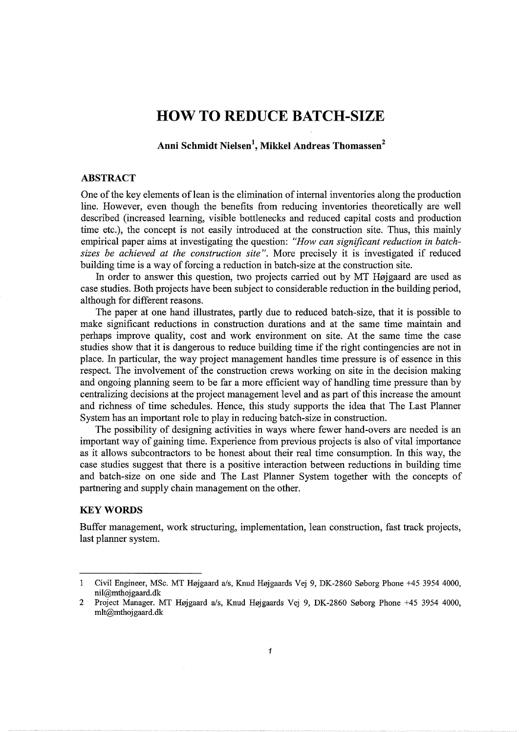# **HOW TO REDUCE BATCH-SIZE**

**Anni Schmidt Nielsen<sup>1</sup> , Mikkel Andreas Thomassen<sup>2</sup>**

## **ABSTRACT**

One of the key elements of lean is the elimination of internal inventories along the production line. However, even though the benefits from reducing inventories theoretically are well described (increased learning, visible bottlenecks and reduced capital costs and production time etc.), the concept is not easily introduced at the construction site. Thus, this mainly empirical paper aims at investigating the question: *"How can significant reduction in batchsizes be achieved at the construction site".* More precisely it is investigated if reduced building time is a way of forcing a reduction in batch-size at the construction site.

In order to answer this question, two projects carried out by MT Højgaard are used as case studies. Both projects have been subject to considerable reduction in the building period, although for different reasons.

The paper at one hand illustrates, partly due to reduced batch-size, that it is possible to make significant reductions in construction durations and at the same time maintain and perhaps improve quality, cost and work environment on site. At the same time the case studies show that it is dangerous to reduce building time if the right contingencies are not in place. In particular, the way project management handles time pressure is of essence in this respect. The involvement of the construction crews working on site in the decision making and ongoing planning seem to be far a more efficient way of handling time pressure than by centralizing decisions at the project management level and as part of this increase the amount and richness of time schedules. Hence, this study supports the idea that The Last Planner System has an important role to play in reducing batch-size in construction.

The possibility of designing activities in ways where fewer hand-overs are needed is an important way of gaining time. Experience from previous projects is also of vital importance as it allows subcontractors to be honest about their real time consumption. In this way, the case studies suggest that there is a positive interaction between reductions in building time and batch-size on one side and The Last Planner System together with the concepts of partnering and supply chain management on the other.

## **KEYWORDS**

Buffer management, work structuring, implementation, lean construction, fast track projects, last planner system.

Civil Engineer, MSc. MT Højgaard a/s, Knud Højgaards Vej 9, DK-2860 Søborg Phone +45 3954 4000, 1 nil@mthojgaard.dk

<sup>2</sup> Project Manager. MT Højgaard a/s, Knud Højgaards Vej 9, DK-2860 Søborg Phone +45 3954 4000, mlt@mthojgaard.dk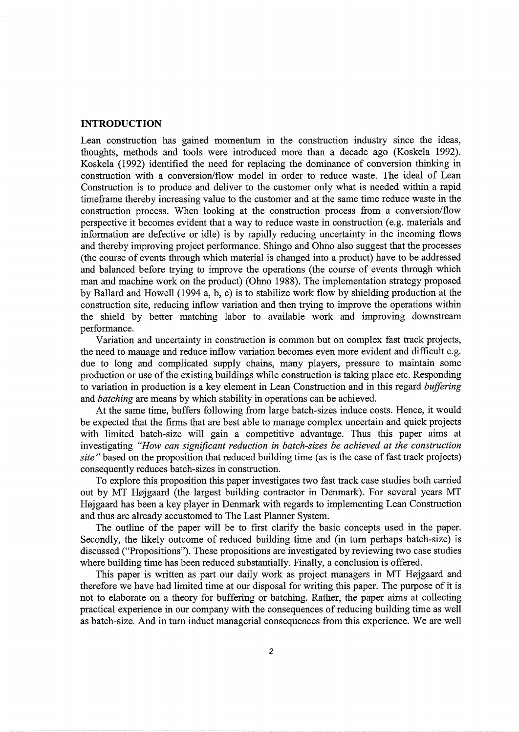# **INTRODUCTION**

Lean construction has gained momentum in the construction industry smce the ideas, thoughts, methods and tools were introduced more than a decade ago (Koskela 1992). Koskela (1992) identified the need for replacing the dominance of conversion thinking in construction with a conversion/flow model in order to reduce waste. The ideal of Lean Construction is to produce and deliver to the customer only what is needed within a rapid timeframe thereby increasing value to the customer and at the same time reduce waste in the construction process. When looking at the construction process from a conversion/flow perspective it becomes evident that a way to reduce waste in construction (e.g. materials and information are defective or idle) is by rapidly reducing uncertainty in the incoming flows and thereby improving project performance. Shingo and Ohno also suggest that the processes (the course of events through which material is changed into a product) have to be addressed and balanced before trying to improve the operations (the course of events through which man and machine work on the product) (Ohno 1988). The implementation strategy proposed by Ballard and Howell (1994 a, b, c) is to stabilize work flow by shielding production at the construction site, reducing inflow variation and then trying to improve the operations within the shield by better matching labor to available work and improving downstream performance.

Variation and uncertainty in construction is common but on complex fast track projects, the need to manage and reduce inflow variation becomes even more evident and difficult e.g. due to long and complicated supply chains, many players, pressure to maintain some production or use of the existing buildings while construction is taking place etc. Responding to variation in production is a key element in Lean Construction and in this regard *buffering*  and *hatching* are means by which stability in operations can be achieved.

At the same time, buffers following from large batch-sizes induce costs. Hence, it would be expected that the firms that are best able to manage complex uncertain and quick projects with limited batch-size will gain a competitive advantage. Thus this paper aims at investigating *"How can significant reduction in batch-sizes be achieved at the construction site"* based on the proposition that reduced building time (as is the case of fast track projects) consequently reduces batch-sizes in construction.

To explore this proposition this paper investigates two fast track case studies both carried out by MT Højgaard (the largest building contractor in Denmark). For several years MT Højgaard has been a key player in Denmark with regards to implementing Lean Construction and thus are already accustomed to The Last Planner System.

The outline of the paper will be to first clarify the basic concepts used in the paper. Secondly, the likely outcome of reduced building time and (in turn perhaps batch-size) is discussed ("Propositions"). These propositions are investigated by reviewing two case studies where building time has been reduced substantially. Finally, a conclusion is offered.

This paper is written as part our daily work as project managers in MT Højgaard and therefore we have had limited time at our disposal for writing this paper. The purpose of it is not to elaborate on a theory for buffering or hatching. Rather, the paper aims at collecting practical experience in our company with the consequences of reducing building time as well as batch-size. And in turn induct managerial consequences from this experience. We are well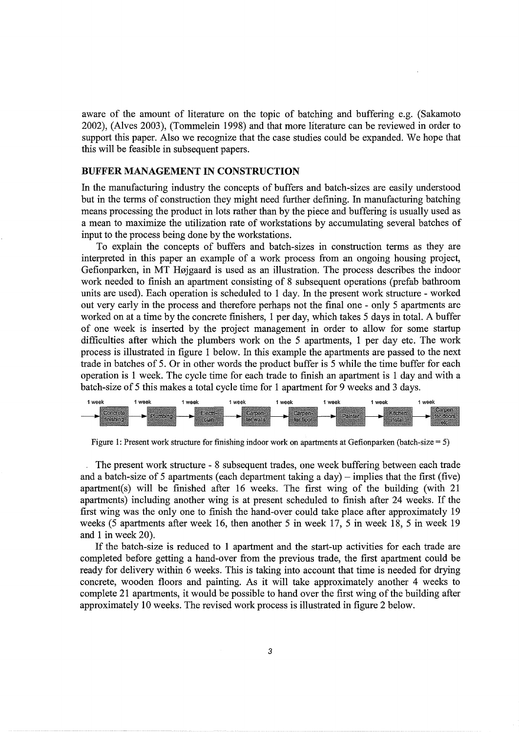aware of the amount of literature on the topic of hatching and buffering e.g. (Sakamoto 2002), (Alves 2003), (Tommelein 1998) and that more literature can be reviewed in order to support this paper. Also we recognize that the case studies could be expanded. We hope that this will be feasible in subsequent papers.

## **BUFFER MANAGEMENT IN CONSTRUCTION**

In the manufacturing industry the concepts of buffers and batch-sizes are easily understood but in the terms of construction they might need further defining. In manufacturing hatching means processing the product in lots rather than by the piece and buffering is usually used as a mean to maximize the utilization rate of workstations by accumulating several batches of input to the process being done by the workstations.

To explain the concepts of buffers and batch-sizes in construction terms as they are interpreted in this paper an example of a work process from an ongoing housing project, Gefionparken, in MT Højgaard is used as an illustration. The process describes the indoor work needed to finish an apartment consisting of 8 subsequent operations (prefab bathroom units are used). Each operation is scheduled to 1 day. In the present work structure - worked out very early in the process and therefore perhaps not the final one - only 5 apartments are worked on at a time by the concrete finishers, 1 per day, which takes 5 days in total. A buffer of one week is inserted by the project management in order to allow for some startup difficulties after which the plumbers work on the 5 apartments, 1 per day etc. The work process is illustrated in figure 1 below. In this example the apartments are passed to the next trade in batches of 5. Or in other words the product buffer is 5 while the time buffer for each operation is 1 week. The cycle time for each trade to finish an apartment is 1 day and with a batch-size of 5 this makes a total cycle time for 1 apartment for 9 weeks and 3 days.



Figure 1: Present work structure for finishing indoor work on apartments at Gefionparken (batch-size = 5)

. The present work structure - 8 subsequent trades, one week buffering between each trade and a batch-size of 5 apartments (each department taking a day) – implies that the first (five) apartment(s) will be finished after 16 weeks. The first wing of the building (with 21 apartments) including another wing is at present scheduled to finish after 24 weeks. If the first wing was the only one to finish the hand-over could take place after approximately 19 weeks (5 apartments after week 16, then another 5 in week 17, 5 in week 18, 5 in week 19 and 1 in week 20).

If the batch-size is reduced to **1** apartment and the start-up activities for each trade are completed before getting a hand-over from the previous trade, the first apartment could be ready for delivery within 6 weeks. This is taking into account that time is needed for drying concrete, wooden floors and painting. As it will take approximately another 4 weeks to complete 21 apartments, it would be possible to hand over the first wing of the building after approximately 10 weeks. The revised work process is illustrated in figure 2 below.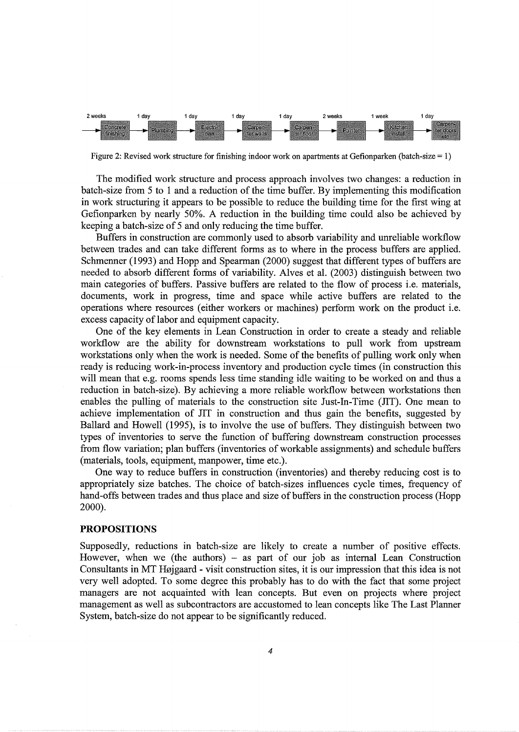

Figure 2: Revised work structure for finishing indoor work on apartments at Gefionparken (batch-size = 1)

The modified work structure and process approach involves two changes: a reduction in batch-size from 5 to 1 and a reduction of the time buffer. By implementing this modification in work structuring it appears to be possible to reduce the building time for the first wing at Gefionparken by nearly 50%. A reduction in the building time could also be achieved by keeping a batch-size of 5 and only reducing the time buffer.

Buffers in construction are commonly used to absorb variability and unreliable workflow between trades and can take different forms as to where in the process buffers are applied. Schmenner (1993) and Hopp and Spearman (2000) suggest that different types of buffers are needed to absorb different forms of variability. Alves et al. (2003) distinguish between two main categories of buffers. Passive buffers are related to the flow of process i.e. materials, documents, work in progress, time and space while active buffers are related to the operations where resources (either workers or machines) perform work on the product i.e. excess capacity of labor and equipment capacity.

One of the key elements in Lean Construction in order to create a steady and reliable workflow are the ability for downstream workstations to pull work from upstream workstations only when the work is needed. Some of the benefits of pulling work only when ready is reducing work-in-process inventory and production cycle times (in construction this will mean that e.g. rooms spends less time standing idle waiting to be worked on and thus a reduction in batch-size). By achieving a more reliable workflow between workstations then enables the pulling of materials to the construction site Just-In-Time (TIT). One mean to achieve implementation of TIT in construction and thus gain the benefits, suggested by Ballard and Howell (1995), is to involve the use of buffers. They distinguish between two types of inventories to serve the function of buffering downstream construction processes from flow variation; plan buffers (inventories of workable assignments) and schedule buffers (materials, tools, equipment, manpower, time etc.).

One way to reduce buffers in construction (inventories) and thereby reducing cost is to appropriately size batches. The choice of batch-sizes influences cycle times, frequency of hand-offs between trades and thus place and size of buffers in the construction process (Hopp 2000).

#### **PROPOSITIONS**

Supposedly, reductions in batch-size are likely to create a number of positive effects. However, when we (the authors)  $-$  as part of our job as internal Lean Construction Consultants in MT Højgaard - visit construction sites, it is our impression that this idea is not very well adopted. To some degree this probably has to do with the fact that some project managers are not acquainted with lean concepts. But even on projects where project management as well as subcontractors are accustomed to lean concepts like The Last Planner System, batch-size do not appear to be significantly reduced.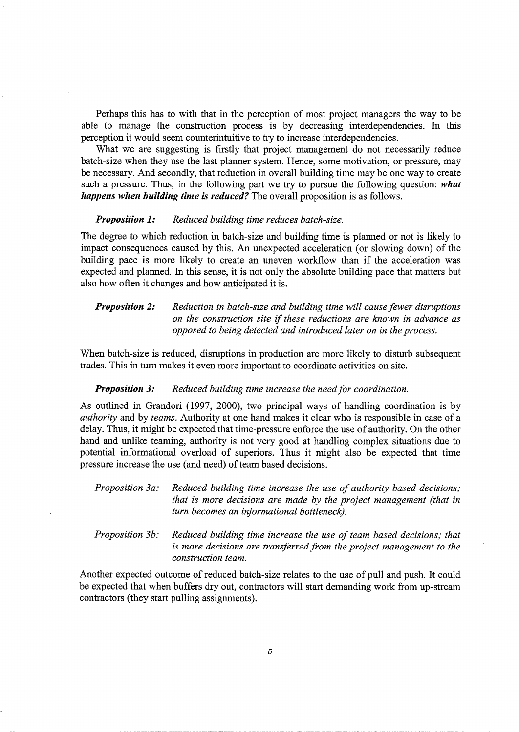Perhaps this has to with that in the perception of most project managers the way to be able to manage the construction process is by decreasing interdependencies. In this perception it would seem counterintuitive to try to increase interdependencies.

What we are suggesting is firstly that project management do not necessarily reduce batch-size when they use the last planner system. Hence, some motivation, or pressure, may be necessary. And secondly, that reduction in overall building time may be one way to create such a pressure. Thus, in the following part we try to pursue the following question: *what happens when building time is reduced?* The overall proposition is as follows.

#### *Proposition 1: Reduced building time reduces batch-size.*

The degree to which reduction in batch-size and building time is planned or not is likely to impact consequences caused by this. An unexpected acceleration (or slowing down) of the building pace is more likely to create an uneven workflow than if the acceleration was expected and planned. In this sense, it is not only the absolute building pace that matters but also how often it changes and how anticipated it is.

*Proposition 2: Reduction in batch-size and building time will cause fewer disruptions on the construction site* if *these reductions are known in advance as opposed to being detected and introduced later on in the process.* 

When batch-size is reduced, disruptions in production are more likely to disturb subsequent trades. This in turn makes it even more important to coordinate activities on site.

## **Proposition 3:** Reduced building time increase the need for coordination.

As outlined in Grandori (1997, 2000), two principal ways of handling coordination is by *authority* and by *teams.* Authority at one hand makes it clear who is responsible in case of a delay. Thus, it might be expected that time-pressure enforce the use of authority. On the other hand and unlike teaming, authority is not very good at handling complex situations due to potential informational overload of superiors. Thus it might also be expected that time pressure increase the use (and need) of team based decisions.

*Proposition 3a: Reduced building time increase the use of authority based decisions; that is more decisions are made by the project management (that in turn becomes an informational bottleneck).* ·

*Proposition 3b: Reduced building time increase the use of team based decisions; that is more decisions are transferred from the project management to the construction team.* 

Another expected outcome of reduced batch-size relates to the use of pull and push. It could be expected that when buffers dry out, contractors will start demanding work from up-stream contractors (they start pulling assignments).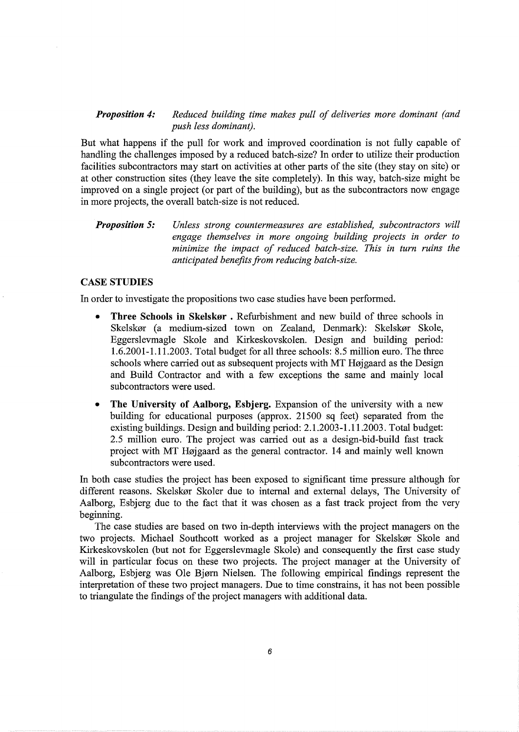# *Proposition 4: Reduced building time makes pull of deliveries more dominant (and push less dominant).*

But what happens if the pull for work and improved coordination is not fully capable of handling the challenges imposed by a reduced batch-size? In order to utilize their production facilities subcontractors may start on activities at other parts of the site (they stay on site) or at other construction sites (they leave the site completely). In this way, batch-size might be improved on a single project (or part of the building), but as the subcontractors now engage in more projects, the overall batch-size is not reduced.

#### *Proposition 5: Unless strong countermeasures are established, subcontractors will engage themselves in more ongoing building projects in order to minimize the impact of reduced batch-size. This in turn ruins the anticipated benefits from reducing batch-size.*

# **CASE STUDIES**

In order to investigate the propositions two case studies have been performed.

- **Three Schools in Skelskor** . Refurbishment and new build of three schools in Skelskør (a medium-sized town on Zealand, Denmark): Skelskør Skole, Eggerslevmagle Skole and Kirkeskovskolen. Design and building period: 1.6.2001-1.11.2003. Total budget for all three schools: 8.5 million euro. The three schools where carried out as subsequent projects with MT Højgaard as the Design and Build Contractor and with a few exceptions the same and mainly local subcontractors were used.
- **The University of Aalborg, Esbjerg.** Expansion of the university with a new building for educational purposes (approx. 21500 sq feet) separated from the existing buildings. Design and building period: 2.1.2003-1.11.2003. Total budget: 2.5 million euro. The project was carried out as a design-bid-build fast track project with MT Højgaard as the general contractor. 14 and mainly well known subcontractors were used.

In both case studies the project has been exposed to significant time pressure although for different reasons. Skelskør Skoler due to internal and external delays, The University of Aalborg, Esbjerg due to the fact that it was chosen as a fast track project from the very beginning.

The case studies are based on two in-depth interviews with the project managers on the two projects. Michael Southcott worked as a project manager for Skelskør Skole and Kirkeskovskolen (but not for Eggerslevmagle Skole) and consequently the first case study will in particular focus on these two projects. The project manager at the University of Aalborg, Esbjerg was Ole Bjørn Nielsen. The following empirical findings represent the interpretation of these two project managers. Due to time constrains, it has not been possible to triangulate the findings of the project managers with additional data.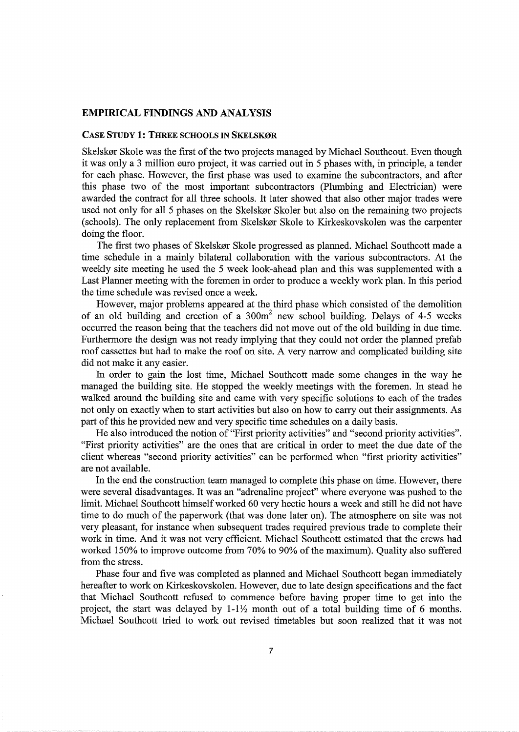# EMPIRICAL FINDINGS AND ANALYSIS

## CASE STUDY 1: THREE SCHOOLS IN SKELSKØR

Skelskør Skole was the first of the two projects managed by Michael Southcout. Even though it was only a 3 million euro project, it was carried out in 5 phases with, in principle, a tender for each phase. However, the first phase was used to examine the subcontractors, and after this phase two of the most important subcontractors (Plumbing and Electrician) were awarded the contract for all three schools. It later showed that also other major trades were used not only for all 5 phases on the Skelskør Skoler but also on the remaining two projects (schools). The only replacement from Skelskør Skole to Kirkeskovskolen was the carpenter doing the floor.

The first two phases of Skelskør Skole progressed as planned. Michael Southcott made a time schedule in a mainly bilateral collaboration with the various subcontractors. At the weekly site meeting he used the 5 week look-ahead plan and this was supplemented with a Last Planner meeting with the foremen in order to produce a weekly work plan. In this period the time schedule was revised once a week.

However, major problems appeared at the third phase which consisted of the demolition of an old building and erection of a  $300m^2$  new school building. Delays of 4-5 weeks occurred the reason being that the teachers did not move out of the old building in due time. Furthermore the design was not ready implying that they could not order the planned prefab roof cassettes but had to make the roof on site. A very narrow and complicated building site did not make it any easier.

In order to gain the lost time, Michael Southcott made some changes in the way he managed the building site. He stopped the weekly meetings with the foremen. In stead he walked around the building site and came with very specific solutions to each of the trades not only on exactly when to start activities but also on how to carry out their assignments. As part of this he provided new and very specific time schedules on a daily basis.

He also introduced the notion of "First priority activities" and "second priority activities". "First priority activities" are the ones that are critical in order to meet the due date of the client whereas "second priority activities" can be performed when "first priority activities" are not available.

In the end the construction team managed to complete this phase on time. However, there were several disadvantages. It was an "adrenaline project" where everyone was pushed to the limit. Michael Southcott himself worked 60 very hectic hours a week and still he did not have time to do much of the paperwork (that was done later on). The atmosphere on site was not very pleasant, for instance when subsequent trades required previous trade to complete their work in time. And it was not very efficient. Michael Southcott estimated that the crews had worked 150% to improve outcome from 70% to 90% of the maximum). Quality also suffered from the stress.

Phase four and five was completed as planned and Michael Southcott began immediately hereafter to work on Kirkeskovskolen. However, due to late design specifications and the fact that Michael Southcott refused to commence before having proper time to get into the project, the start was delayed by  $1-1\frac{1}{2}$  month out of a total building time of 6 months. Michael Southcott tried to work out revised timetables but soon realized that it was not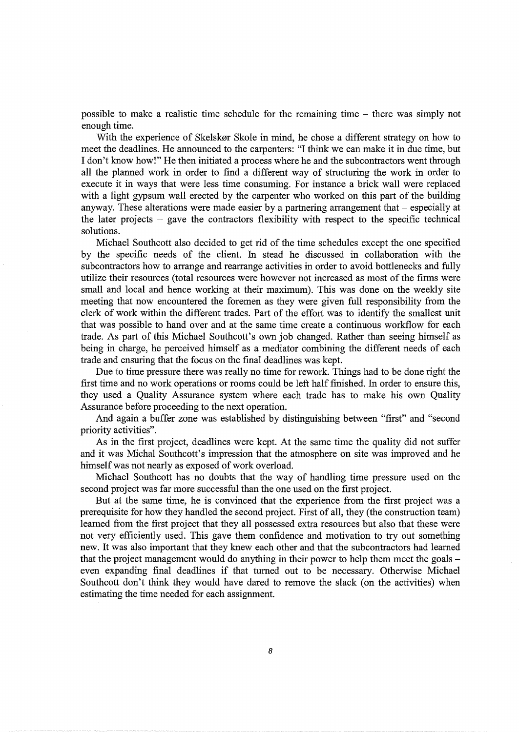possible to make a realistic time schedule for the remaining time - there was simply not enough time.

With the experience of Skelskør Skole in mind, he chose a different strategy on how to meet the deadlines. He announced to the carpenters: "I think we can make it in due time, but I don't know how!" He then initiated a process where he and the subcontractors went through all the planned work in order to find a different way of structuring the work in order to execute it in ways that were less time consuming. For instance a brick wall were replaced with a light gypsum wall erected by the carpenter who worked on this part of the building anyway. These alterations were made easier by a partnering arrangement that  $-$  especially at the later projects  $-$  gave the contractors flexibility with respect to the specific technical solutions.

Michael Southcott also decided to get rid of the time schedules except the one specified by the specific needs of the client. In stead he discussed in collaboration with the subcontractors how to arrange and rearrange activities in order to avoid bottlenecks and fully utilize their resources (total resources were however not increased as most of the firms were small and local and hence working at their maximum). This was done on the weekly site meeting that now encountered the foremen as they were given full responsibility from the clerk of work within the different trades. Part of the effort was to identify the smallest unit that was possible to hand over and at the same time create a continuous workflow for each trade. As part of this Michael Southcott's own job changed. Rather than seeing himself as being in charge, he perceived himself as a mediator combining the different needs of each trade and ensuring that the focus on the final deadlines was kept.

Due to time pressure there was really no time for rework. Things had to be done right the first time and no work operations or rooms could be left half finished. In order to ensure this, they used a Quality Assurance system where each trade has to make his own Quality Assurance before proceeding to the next operation.

And again a buffer zone was established by distinguishing between "first" and "second priority activities".

As in the first project, deadlines were kept. At the same time the quality did not suffer and it was Michal Southcott's impression that the atmosphere on site was improved and he himself was not nearly as exposed of work overload.

Michael Southcott has no doubts that the way of handling time pressure used on the second project was far more successful than the one used on the first project.

But at the same time, he is convinced that the experience from the first project was a prerequisite for how they handled the second project. First of all, they (the construction team) learned from the first project that they all possessed extra resources but also that these were not very efficiently used. This gave them confidence and motivation to try out something new. It was also important that they knew each other and that the subcontractors had learned that the project management would do anything in their power to help them meet the goals even expanding final deadlines if that turned out to be necessary. Otherwise Michael Southcott don't think they would have dared to remove the slack (on the activities) when estimating the time needed for each assignment.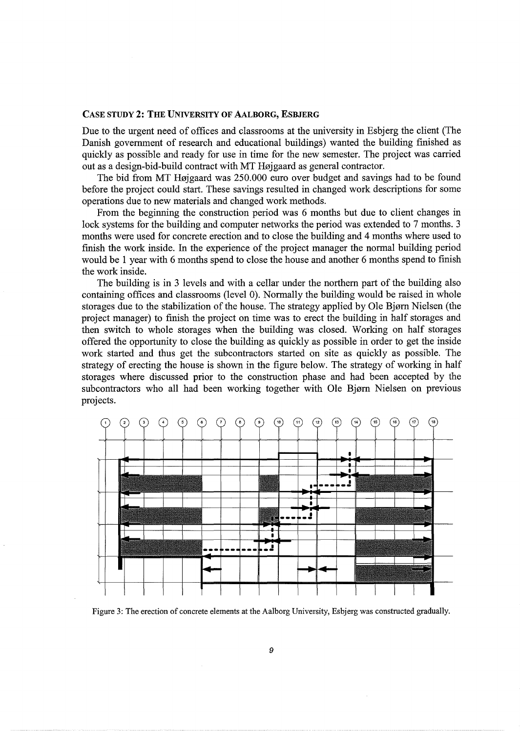## CASE STUDY 2: THE UNIVERSITY OF AALBORG, ESBJERG

Due to the urgent need of offices and classrooms at the university in Esbjerg the client (The Danish government of research and educational buildings) wanted the building finished as quickly as possible and ready for use in time for the new semester. The project was carried out as a design-bid-build contract with MT Højgaard as general contractor.

The bid from MT Højgaard was 250.000 euro over budget and savings had to be found before the project could start. These savings resulted in changed work descriptions for some operations due to new materials and changed work methods.

From the beginning the construction period was 6 months but due to client changes in lock systems for the building and computer networks the period was extended to 7 months. 3 months were used for concrete erection and to close the building and 4 months where used to finish the work inside. In the experience of the project manager the normal building period would be 1 year with 6 months spend to close the house and another 6 months spend to finish the work inside.

The building is in 3 levels and with a cellar under the northern part of the building also containing offices and classrooms (level 0). Normally the building would be raised in whole storages due to the stabilization of the house. The strategy applied by Ole Bjørn Nielsen (the project manager) to finish the project on time was to erect the building in half storages and then switch to whole storages when the building was closed. Working on half storages offered the opportunity to close the building as quickly as possible in order to get the inside work started and thus get the subcontractors started on site as quickly as possible. The strategy of erecting the house is shown in the figure below. The strategy of working in half storages where discussed prior to the construction phase and had been accepted by the subcontractors who all had been working together with Ole Bjørn Nielsen on previous projects.



Figure 3: The erection of concrete elements at the Aalborg University, Esbjerg was constructed gradually.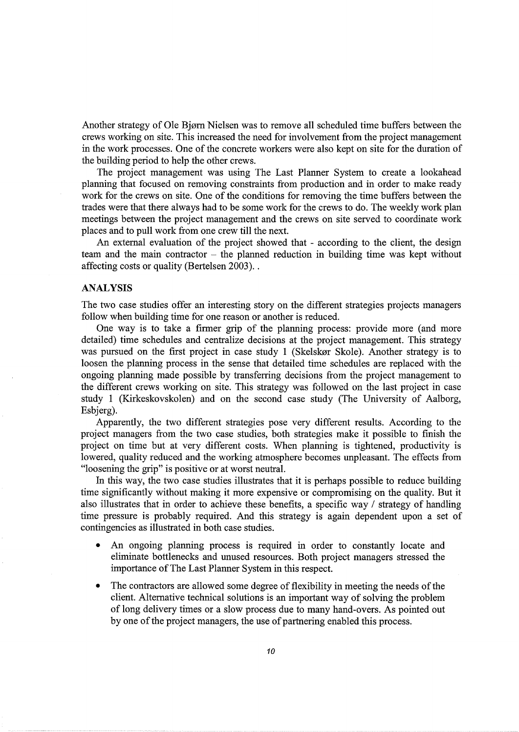Another strategy of Ole Bjørn Nielsen was to remove all scheduled time buffers between the crews working on site. This increased the need for involvement from the project management in the work processes. One of the concrete workers were also kept on site for the duration of the building period to help the other crews.

The project management was using The Last Planner System to create a lookahead planning that focused on removing constraints from production and in order to make ready work for the crews on site. One of the conditions for removing the time buffers between the trades were that there always had to be some work for the crews to do. The weekly work plan meetings between the project management and the crews on site served to coordinate work places and to pull work from one crew till the next.

An external evaluation of the project showed that - according to the client, the design team and the main contractor - the planned reduction in building time was kept without affecting costs or quality (Bertelsen 2003) ..

# ANALYSIS

The two case studies offer an interesting story on the different strategies projects managers follow when building time for one reason or another is reduced.

One way is to take a firmer grip of the planning process: provide more (and more detailed) time schedules and centralize decisions at the project management. This strategy was pursued on the first project in case study 1 (Skelskør Skole). Another strategy is to loosen the planning process in the sense that detailed time schedules are replaced with the ongoing planning made possible by transferring decisions from the project management to the different crews working on site. This strategy was followed on the last project in case study 1 (Kirkeskovskolen) and on the second case study (The University of Aalborg, Esbjerg).

Apparently, the two different strategies pose very different results. According to the project managers from the two case studies, both strategies make it possible to finish the project on time but at very different costs. When planning is tightened, productivity is lowered, quality reduced and the working atmosphere becomes unpleasant. The effects from "loosening the grip" is positive or at worst neutral.

In this way, the two case studies illustrates that it is perhaps possible to reduce building time significantly without making it more expensive or compromising on the quality. But it also illustrates that in order to achieve these benefits, a specific way / strategy of handling time pressure is probably required. And this strategy is again dependent upon a set of contingencies as illustrated in both case studies.

- An ongoing planning process is required in order to constantly locate and eliminate bottlenecks and unused resources. Both project managers stressed the importance of The Last Planner System in this respect.
- The contractors are allowed some degree of flexibility in meeting the needs of the client. Alternative technical solutions is an important way of solving the problem of long delivery times or a slow process due to many hand-overs. As pointed out by one of the project managers, the use of partnering enabled this process.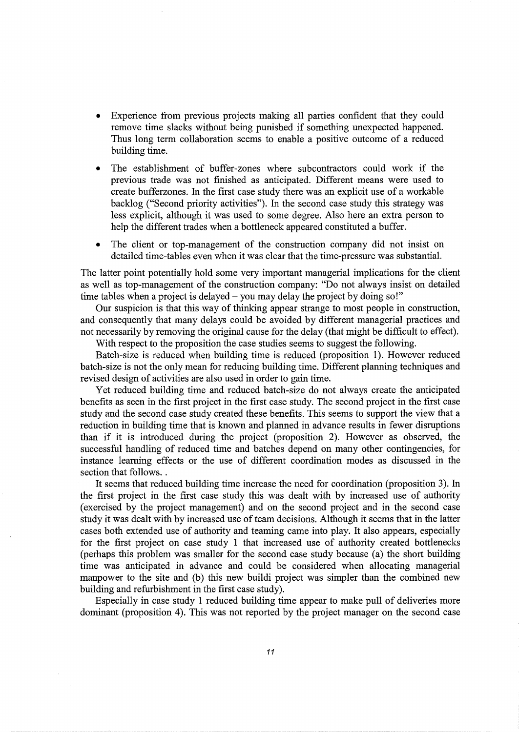- Experience from previous projects making all parties confident that they could remove time slacks without being punished if something unexpected happened. Thus long term collaboration seems to enable a positive outcome of a reduced building time.
- The establishment of buffer-zones where subcontractors could work if the previous trade was not finished as anticipated. Different means were used to create bufferzones. In the first case study there was an explicit use of a workable backlog ("Second priority activities"). In the second case study this strategy was less explicit, although it was used to some degree. Also here an extra person to help the different trades when a bottleneck appeared constituted a buffer.
- The client or top-management of the construction company did not insist on detailed time-tables even when it was clear that the time-pressure was substantial.

The latter point potentially hold some very important managerial implications for the client as well as top-management of the construction company: "Do not always insist on detailed time tables when a project is delayed – you may delay the project by doing so!"

Our suspicion is that this way of thinking appear strange to most people in construction, and consequently that many delays could be avoided by different managerial practices and not necessarily by removing the original cause for the delay (that might be difficult to effect).

With respect to the proposition the case studies seems to suggest the following.

Batch-size is reduced when building time is reduced (proposition 1). However reduced batch-size is not the only mean for reducing building time. Different planning techniques and revised design of activities are also used in order to gain time.

Yet reduced building time and reduced batch-size do not always create the anticipated benefits as seen in the first project in the first case study. The second project in the first case study and the second case study created these benefits. This seems to support the view that a reduction in building time that is known and planned in advance results in fewer disruptions than if it is introduced during the project (proposition 2). However as observed, the successful handling of reduced time and batches depend on many other contingencies, for instance learning effects or the use of different coordination modes as discussed in the section that follows...

It seems that reduced building time increase the need for coordination (proposition 3). In the first project in the first case study this was dealt with by increased use of authority (exercised by the project management) and on the second project and in the second case study it was dealt with by increased use of team decisions. Although it seems that in the latter cases both extended use of authority and teaming came into play. It also appears, especially for the first project on case study 1 that increased use of authority created bottlenecks (perhaps this problem was smaller for the second case study because (a) the short building time was anticipated in advance and could be considered when allocating managerial manpower to the site and (b) this new buildi project was simpler than the combined new building and refurbishment in the first case study).

Especially in case study 1 reduced building time appear to make pull of deliveries more dominant (proposition 4). This was not reported by the project manager on the second case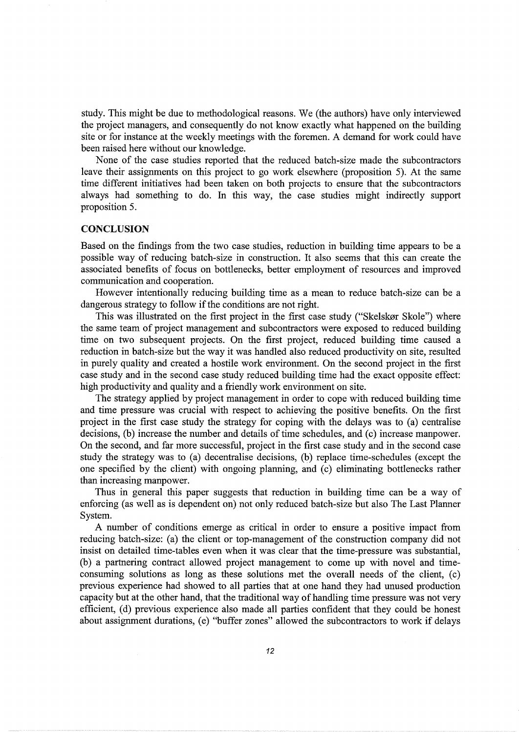study. This might be due to methodological reasons. We (the authors) have only interviewed the project managers, and consequently do not know exactly what happened on the building site or for instance at the weekly meetings with the foremen. A demand for work could have been raised here without our knowledge.

None of the case studies reported that the reduced batch-size made the subcontractors leave their assignments on this project to go work elsewhere (proposition 5). At the same time different initiatives had been taken on both projects to ensure that the subcontractors always had something to do. In this way, the case studies might indirectly support proposition 5.

# **CONCLUSION**

Based on the findings from the two case studies, reduction in building time appears to be a possible way of reducing batch-size in construction. It also seems that this can create the associated benefits of focus on bottlenecks, better employment of resources and improved communication and cooperation.

However intentionally reducing building time as a mean to reduce batch-size can be a dangerous strategy to follow if the conditions are not right.

This was illustrated on the first project in the first case study ("Skelskør Skole") where the same team of project management and subcontractors were exposed to reduced building time on two subsequent projects. On the first project, reduced building time caused a reduction in batch-size but the way it was handled also reduced productivity on site, resulted in purely quality and created a hostile work environment. On the second project in the first case study and in the second case study reduced building time had the exact opposite effect: high productivity and quality and a friendly work environment on site.

The strategy applied by project management in order to cope with reduced building time and time pressure was crucial with respect to achieving the positive benefits. On the first project in the first case study the strategy for coping with the delays was to (a) centralise decisions, (b) increase the number and details of time schedules, and (c) increase manpower. On the second, and far more successful, project in the first case study and in the second case study the strategy was to (a) decentralise decisions, (b) replace time-schedules (except the one specified by the client) with ongoing planning, and (c) eliminating bottlenecks rather than increasing manpower.

Thus in general this paper suggests that reduction in building time can be a way of enforcing (as well as is dependent on) not only reduced batch-size but also The Last Planner System.

A number of conditions emerge as critical in order to ensure a positive impact from reducing batch-size: (a) the client or top-management of the construction company did not insist on detailed time-tables even when it was clear that the time-pressure was substantial, (b) a partnering contract allowed project management to come up with novel and timeconsuming solutions as long as these solutions met the overall needs of the client, (c) previous experience had showed to all parties that at one hand they had unused production capacity but at the other hand, that the traditional way of handling time pressure was not very efficient, (d) previous experience also made all parties confident that they could be honest about assignment durations, (e) "buffer zones" allowed the subcontractors to work if delays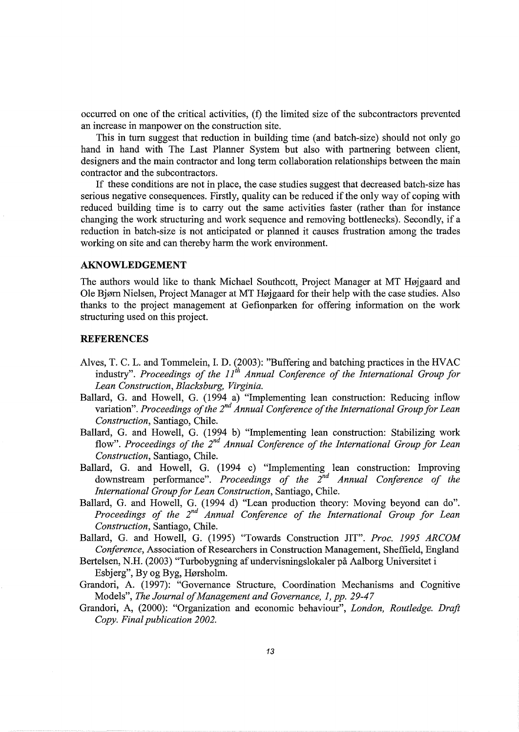occurred on one of the critical activities, (f) the limited size of the subcontractors prevented an increase in manpower on the construction site.

This in tum suggest that reduction in building time (and batch-size) should not only go hand in hand with The Last Planner System but also with partnering between client, designers and the main contractor and long term collaboration relationships between the main contractor and the subcontractors.

If these conditions are not in place, the case studies suggest that decreased batch-size has serious negative consequences. Firstly, quality can be reduced if the only way of coping with reduced building time is to carry out the same activities faster (rather than for instance changing the work structuring and work sequence and removing bottlenecks). Secondly, if a reduction in batch-size is not anticipated or planned it causes frustration among the trades working on site and can thereby harm the work environment.

# **AKNOWLEDGEMENT**

The authors would like to thank Michael Southcott, Project Manager at MT Højgaard and Ole Bjørn Nielsen, Project Manager at MT Højgaard for their help with the case studies. Also thanks to the project management at Gefionparken for offering information on the work structuring used on this project.

#### **REFERENCES**

- Alves, T. C. L. and Tommelein, I. D. (2003): "Buffering and hatching practices in the HVAC industry". *Proceedings of the 11<sup>th</sup> Annual Conference of the International Group for Lean Construction, Blacksburg, Virginia.*
- Ballard, G. and Howell, G. (1994 a) "Implementing lean construction: Reducing inflow variation". Proceedings of the 2<sup>nd</sup> Annual Conference of the International Group for Lean *Construction,* Santiago, Chile.
- Ballard, G. and Howell, G. (1994 b) "Implementing lean construction: Stabilizing work flow". Proceedings of the 2<sup>nd</sup> Annual Conference of the International Group for Lean *Construction,* Santiago, Chile.
- Ballard, G. and Howell, G. (1994 c) "Implementing lean construction: Improving downstream performance". *Proceedings of the 2<sup>nd</sup> Annual Conference of the International Group for Lean Construction,* Santiago, Chile.
- Ballard, G. and Howell, G. (1994 d) "Lean production theory: Moving beyond can do". Proceedings of the 2<sup>nd</sup> Annual Conference of the International Group for Lean *Construction,* Santiago, Chile.
- Ballard, G. and Howell, G. (1995) "Towards Construction JIT". *Proc. 1995 ARCOM Conference,* Association of Researchers in Construction Management, Sheffield, England
- Bertelsen, N.H. (2003) "Turbobygning af undervisningslokaler på Aalborg Universitet i Esbjerg", By og Byg, Hørsholm.
- Grandori, A. (1997): "Governance Structure, Coordination Mechanisms and Cognitive Models", *The Journal of Management and Governance, 1, pp. 29-47*
- Grandori, A, (2000): "Organization and economic behaviour", *London, Routledge. Draft Copy. Final publication 2002.*